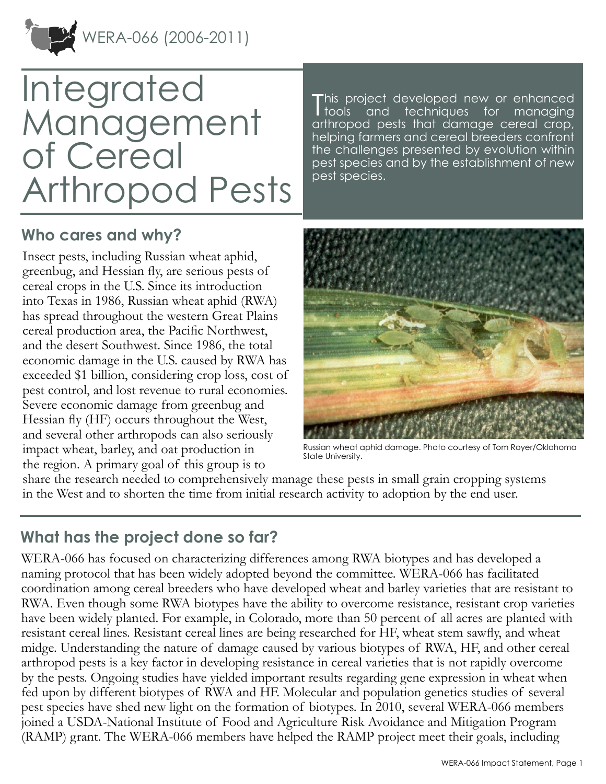

# Integrated **Management** of Cereal Arthropod Pests

This project developed new or enhanced<br>tools and techniques for managing **I** tools and techniques for managing arthropod pests that damage cereal crop, helping farmers and cereal breeders confront the challenges presented by evolution within pest species and by the establishment of new pest species.

#### **Who cares and why?**

Insect pests, including Russian wheat aphid, greenbug, and Hessian fly, are serious pests of cereal crops in the U.S. Since its introduction into Texas in 1986, Russian wheat aphid (RWA) has spread throughout the western Great Plains cereal production area, the Pacific Northwest, and the desert Southwest. Since 1986, the total economic damage in the U.S. caused by RWA has exceeded \$1 billion, considering crop loss, cost of pest control, and lost revenue to rural economies. Severe economic damage from greenbug and Hessian fly (HF) occurs throughout the West, and several other arthropods can also seriously impact wheat, barley, and oat production in the region. A primary goal of this group is to



Russian wheat aphid damage. Photo courtesy of Tom Royer/Oklahoma State University.

share the research needed to comprehensively manage these pests in small grain cropping systems in the West and to shorten the time from initial research activity to adoption by the end user.

#### **What has the project done so far?**

WERA-066 has focused on characterizing differences among RWA biotypes and has developed a naming protocol that has been widely adopted beyond the committee. WERA-066 has facilitated coordination among cereal breeders who have developed wheat and barley varieties that are resistant to RWA. Even though some RWA biotypes have the ability to overcome resistance, resistant crop varieties have been widely planted. For example, in Colorado, more than 50 percent of all acres are planted with resistant cereal lines. Resistant cereal lines are being researched for HF, wheat stem sawfly, and wheat midge. Understanding the nature of damage caused by various biotypes of RWA, HF, and other cereal arthropod pests is a key factor in developing resistance in cereal varieties that is not rapidly overcome by the pests. Ongoing studies have yielded important results regarding gene expression in wheat when fed upon by different biotypes of RWA and HF. Molecular and population genetics studies of several pest species have shed new light on the formation of biotypes. In 2010, several WERA-066 members joined a USDA-National Institute of Food and Agriculture Risk Avoidance and Mitigation Program (RAMP) grant. The WERA-066 members have helped the RAMP project meet their goals, including